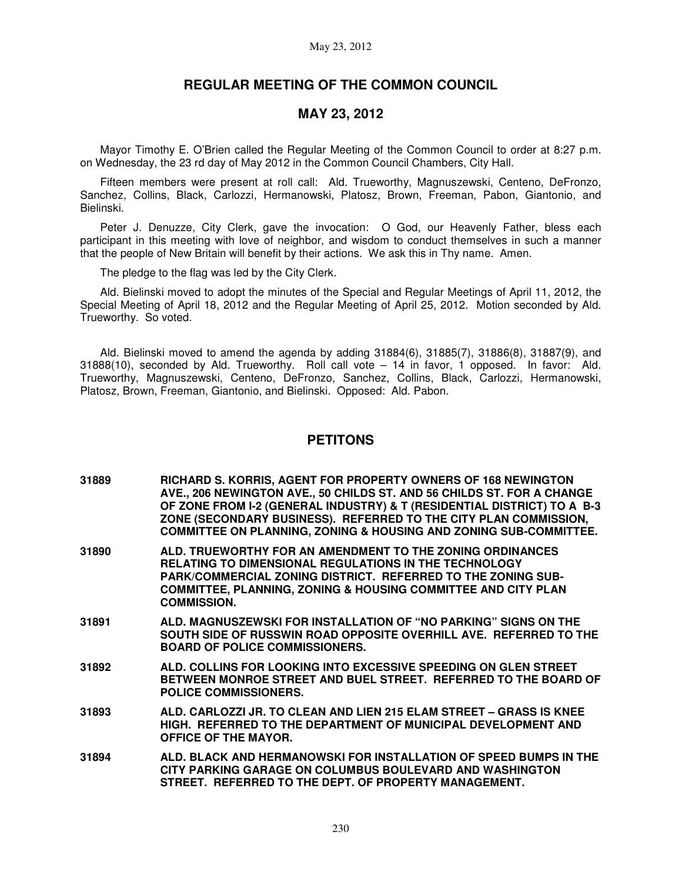# **REGULAR MEETING OF THE COMMON COUNCIL**

## **MAY 23, 2012**

Mayor Timothy E. O'Brien called the Regular Meeting of the Common Council to order at 8:27 p.m. on Wednesday, the 23 rd day of May 2012 in the Common Council Chambers, City Hall.

Fifteen members were present at roll call: Ald. Trueworthy, Magnuszewski, Centeno, DeFronzo, Sanchez, Collins, Black, Carlozzi, Hermanowski, Platosz, Brown, Freeman, Pabon, Giantonio, and Bielinski.

Peter J. Denuzze, City Clerk, gave the invocation: O God, our Heavenly Father, bless each participant in this meeting with love of neighbor, and wisdom to conduct themselves in such a manner that the people of New Britain will benefit by their actions. We ask this in Thy name. Amen.

The pledge to the flag was led by the City Clerk.

Ald. Bielinski moved to adopt the minutes of the Special and Regular Meetings of April 11, 2012, the Special Meeting of April 18, 2012 and the Regular Meeting of April 25, 2012. Motion seconded by Ald. Trueworthy. So voted.

Ald. Bielinski moved to amend the agenda by adding 31884(6), 31885(7), 31886(8), 31887(9), and 31888(10), seconded by Ald. Trueworthy. Roll call vote – 14 in favor, 1 opposed. In favor: Ald. Trueworthy, Magnuszewski, Centeno, DeFronzo, Sanchez, Collins, Black, Carlozzi, Hermanowski, Platosz, Brown, Freeman, Giantonio, and Bielinski. Opposed: Ald. Pabon.

## **PETITONS**

- **31889 RICHARD S. KORRIS, AGENT FOR PROPERTY OWNERS OF 168 NEWINGTON AVE., 206 NEWINGTON AVE., 50 CHILDS ST. AND 56 CHILDS ST. FOR A CHANGE OF ZONE FROM I-2 (GENERAL INDUSTRY) & T (RESIDENTIAL DISTRICT) TO A B-3 ZONE (SECONDARY BUSINESS). REFERRED TO THE CITY PLAN COMMISSION, COMMITTEE ON PLANNING, ZONING & HOUSING AND ZONING SUB-COMMITTEE.**
- **31890 ALD. TRUEWORTHY FOR AN AMENDMENT TO THE ZONING ORDINANCES RELATING TO DIMENSIONAL REGULATIONS IN THE TECHNOLOGY PARK/COMMERCIAL ZONING DISTRICT. REFERRED TO THE ZONING SUB-COMMITTEE, PLANNING, ZONING & HOUSING COMMITTEE AND CITY PLAN COMMISSION.**
- **31891 ALD. MAGNUSZEWSKI FOR INSTALLATION OF "NO PARKING" SIGNS ON THE SOUTH SIDE OF RUSSWIN ROAD OPPOSITE OVERHILL AVE. REFERRED TO THE BOARD OF POLICE COMMISSIONERS.**
- **31892 ALD. COLLINS FOR LOOKING INTO EXCESSIVE SPEEDING ON GLEN STREET BETWEEN MONROE STREET AND BUEL STREET. REFERRED TO THE BOARD OF POLICE COMMISSIONERS.**
- **31893 ALD. CARLOZZI JR. TO CLEAN AND LIEN 215 ELAM STREET GRASS IS KNEE HIGH. REFERRED TO THE DEPARTMENT OF MUNICIPAL DEVELOPMENT AND OFFICE OF THE MAYOR.**
- **31894 ALD. BLACK AND HERMANOWSKI FOR INSTALLATION OF SPEED BUMPS IN THE CITY PARKING GARAGE ON COLUMBUS BOULEVARD AND WASHINGTON STREET. REFERRED TO THE DEPT. OF PROPERTY MANAGEMENT.**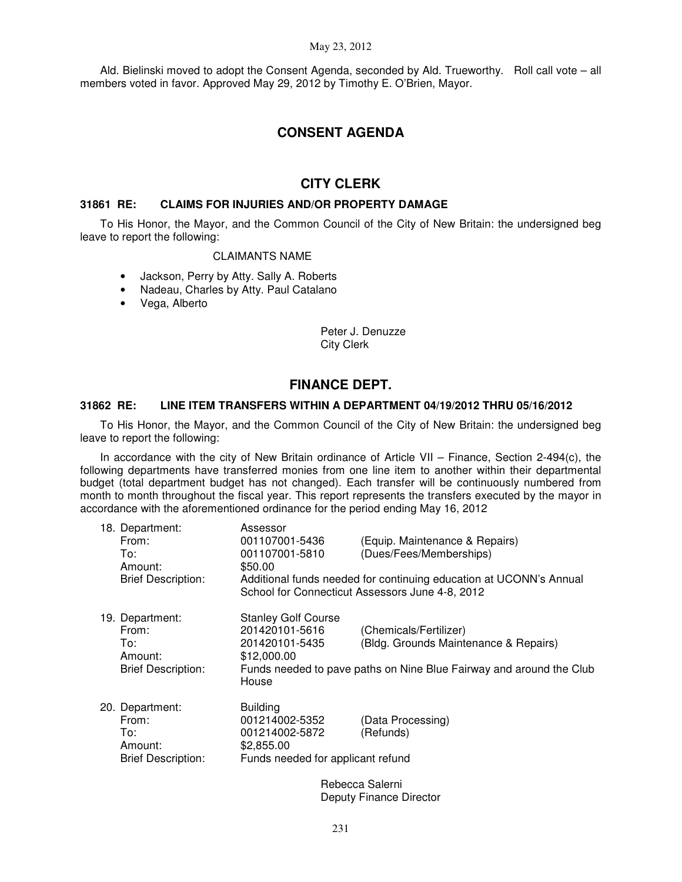#### May 23, 2012

Ald. Bielinski moved to adopt the Consent Agenda, seconded by Ald. Trueworthy. Roll call vote – all members voted in favor. Approved May 29, 2012 by Timothy E. O'Brien, Mayor.

## **CONSENT AGENDA**

## **CITY CLERK**

### **31861 RE: CLAIMS FOR INJURIES AND/OR PROPERTY DAMAGE**

To His Honor, the Mayor, and the Common Council of the City of New Britain: the undersigned beg leave to report the following:

#### CLAIMANTS NAME

- Jackson, Perry by Atty. Sally A. Roberts
- Nadeau, Charles by Atty. Paul Catalano
- Vega, Alberto

Peter J. Denuzze City Clerk

## **FINANCE DEPT.**

### **31862 RE: LINE ITEM TRANSFERS WITHIN A DEPARTMENT 04/19/2012 THRU 05/16/2012**

To His Honor, the Mayor, and the Common Council of the City of New Britain: the undersigned beg leave to report the following:

In accordance with the city of New Britain ordinance of Article VII – Finance, Section 2-494(c), the following departments have transferred monies from one line item to another within their departmental budget (total department budget has not changed). Each transfer will be continuously numbered from month to month throughout the fiscal year. This report represents the transfers executed by the mayor in accordance with the aforementioned ordinance for the period ending May 16, 2012

| 18. Department:<br>From:<br>To:<br>Amount:<br><b>Brief Description:</b> | Assessor<br>001107001-5436<br>001107001-5810<br>\$50.00                                                | (Equip. Maintenance & Repairs)<br>(Dues/Fees/Memberships)<br>Additional funds needed for continuing education at UCONN's Annual        |
|-------------------------------------------------------------------------|--------------------------------------------------------------------------------------------------------|----------------------------------------------------------------------------------------------------------------------------------------|
|                                                                         | School for Connecticut Assessors June 4-8, 2012                                                        |                                                                                                                                        |
| 19. Department:<br>From:<br>To:<br>Amount:<br><b>Brief Description:</b> | <b>Stanley Golf Course</b><br>201420101-5616<br>201420101-5435<br>\$12,000.00<br>House                 | (Chemicals/Fertilizer)<br>(Bldg. Grounds Maintenance & Repairs)<br>Funds needed to pave paths on Nine Blue Fairway and around the Club |
| 20. Department:<br>From:<br>To:<br>Amount:<br><b>Brief Description:</b> | <b>Building</b><br>001214002-5352<br>001214002-5872<br>\$2,855.00<br>Funds needed for applicant refund | (Data Processing)<br>(Refunds)                                                                                                         |
|                                                                         |                                                                                                        | Rebecca Salerni                                                                                                                        |

Deputy Finance Director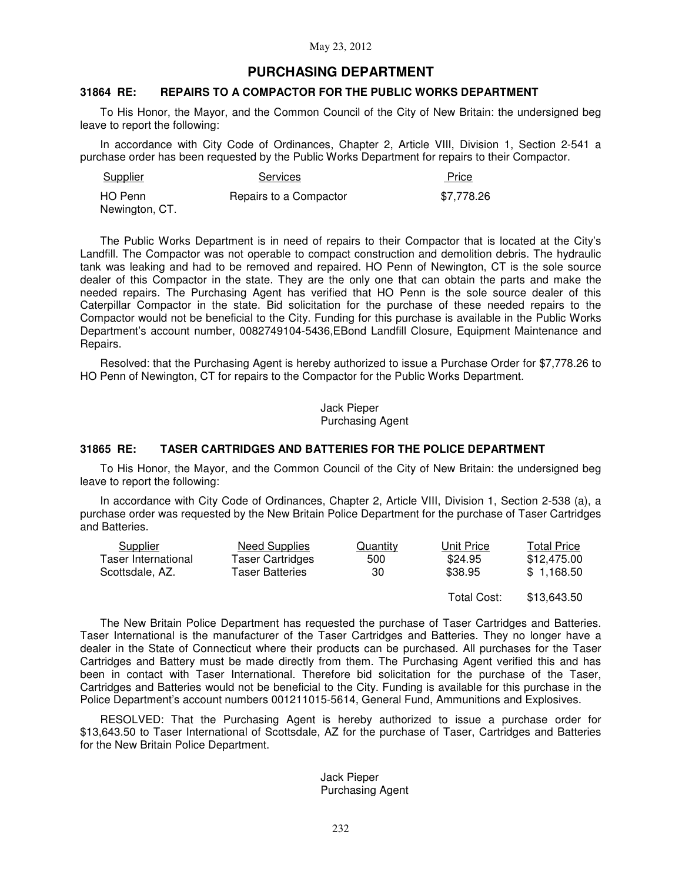## **PURCHASING DEPARTMENT**

## **31864 RE: REPAIRS TO A COMPACTOR FOR THE PUBLIC WORKS DEPARTMENT**

To His Honor, the Mayor, and the Common Council of the City of New Britain: the undersigned beg leave to report the following:

In accordance with City Code of Ordinances, Chapter 2, Article VIII, Division 1, Section 2-541 a purchase order has been requested by the Public Works Department for repairs to their Compactor.

| Supplier       | <b>Services</b>        | Price      |
|----------------|------------------------|------------|
| HO Penn        | Repairs to a Compactor | \$7.778.26 |
| Newington, CT. |                        |            |

The Public Works Department is in need of repairs to their Compactor that is located at the City's Landfill. The Compactor was not operable to compact construction and demolition debris. The hydraulic tank was leaking and had to be removed and repaired. HO Penn of Newington, CT is the sole source dealer of this Compactor in the state. They are the only one that can obtain the parts and make the needed repairs. The Purchasing Agent has verified that HO Penn is the sole source dealer of this Caterpillar Compactor in the state. Bid solicitation for the purchase of these needed repairs to the Compactor would not be beneficial to the City. Funding for this purchase is available in the Public Works Department's account number, 0082749104-5436,EBond Landfill Closure, Equipment Maintenance and Repairs.

Resolved: that the Purchasing Agent is hereby authorized to issue a Purchase Order for \$7,778.26 to HO Penn of Newington, CT for repairs to the Compactor for the Public Works Department.

> Jack Pieper Purchasing Agent

### **31865 RE: TASER CARTRIDGES AND BATTERIES FOR THE POLICE DEPARTMENT**

To His Honor, the Mayor, and the Common Council of the City of New Britain: the undersigned beg leave to report the following:

In accordance with City Code of Ordinances, Chapter 2, Article VIII, Division 1, Section 2-538 (a), a purchase order was requested by the New Britain Police Department for the purchase of Taser Cartridges and Batteries.

| Supplier            | Need Supplies           | Quantity | Unit Price | <b>Total Price</b> |
|---------------------|-------------------------|----------|------------|--------------------|
| Taser International | <b>Taser Cartridges</b> | 500      | \$24.95    | \$12.475.00        |
| Scottsdale, AZ.     | <b>Taser Batteries</b>  | 30       | \$38.95    | \$1.168.50         |
|                     |                         |          |            |                    |

 Total Cost: \$13,643.50

The New Britain Police Department has requested the purchase of Taser Cartridges and Batteries. Taser International is the manufacturer of the Taser Cartridges and Batteries. They no longer have a dealer in the State of Connecticut where their products can be purchased. All purchases for the Taser Cartridges and Battery must be made directly from them. The Purchasing Agent verified this and has been in contact with Taser International. Therefore bid solicitation for the purchase of the Taser, Cartridges and Batteries would not be beneficial to the City. Funding is available for this purchase in the Police Department's account numbers 001211015-5614, General Fund, Ammunitions and Explosives.

RESOLVED: That the Purchasing Agent is hereby authorized to issue a purchase order for \$13,643.50 to Taser International of Scottsdale, AZ for the purchase of Taser, Cartridges and Batteries for the New Britain Police Department.

### Jack Pieper Purchasing Agent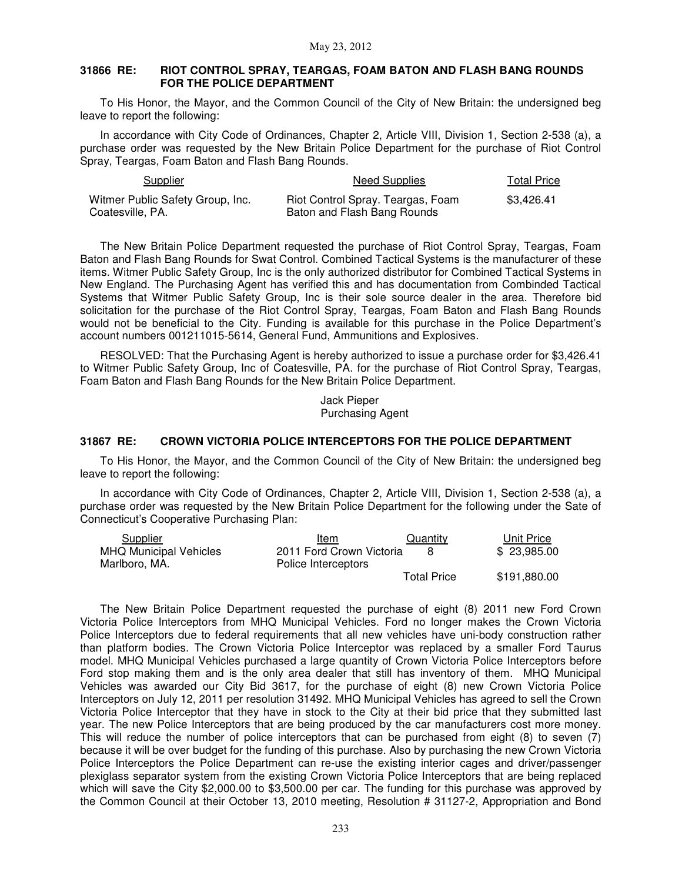### **31866 RE: RIOT CONTROL SPRAY, TEARGAS, FOAM BATON AND FLASH BANG ROUNDS FOR THE POLICE DEPARTMENT**

To His Honor, the Mayor, and the Common Council of the City of New Britain: the undersigned beg leave to report the following:

In accordance with City Code of Ordinances, Chapter 2, Article VIII, Division 1, Section 2-538 (a), a purchase order was requested by the New Britain Police Department for the purchase of Riot Control Spray, Teargas, Foam Baton and Flash Bang Rounds.

| Supplier                                             | Need Supplies                                                    | Total Price |
|------------------------------------------------------|------------------------------------------------------------------|-------------|
| Witmer Public Safety Group, Inc.<br>Coatesville, PA. | Riot Control Spray. Teargas, Foam<br>Baton and Flash Bang Rounds | \$3.426.41  |

The New Britain Police Department requested the purchase of Riot Control Spray, Teargas, Foam Baton and Flash Bang Rounds for Swat Control. Combined Tactical Systems is the manufacturer of these items. Witmer Public Safety Group, Inc is the only authorized distributor for Combined Tactical Systems in New England. The Purchasing Agent has verified this and has documentation from Combinded Tactical Systems that Witmer Public Safety Group, Inc is their sole source dealer in the area. Therefore bid solicitation for the purchase of the Riot Control Spray, Teargas, Foam Baton and Flash Bang Rounds would not be beneficial to the City. Funding is available for this purchase in the Police Department's account numbers 001211015-5614, General Fund, Ammunitions and Explosives.

RESOLVED: That the Purchasing Agent is hereby authorized to issue a purchase order for \$3,426.41 to Witmer Public Safety Group, Inc of Coatesville, PA. for the purchase of Riot Control Spray, Teargas, Foam Baton and Flash Bang Rounds for the New Britain Police Department.

> Jack Pieper Purchasing Agent

### **31867 RE: CROWN VICTORIA POLICE INTERCEPTORS FOR THE POLICE DEPARTMENT**

To His Honor, the Mayor, and the Common Council of the City of New Britain: the undersigned beg leave to report the following:

In accordance with City Code of Ordinances, Chapter 2, Article VIII, Division 1, Section 2-538 (a), a purchase order was requested by the New Britain Police Department for the following under the Sate of Connecticut's Cooperative Purchasing Plan:

| Supplier                      | Item                     | Quantity           | Unit Price   |
|-------------------------------|--------------------------|--------------------|--------------|
| <b>MHQ Municipal Vehicles</b> | 2011 Ford Crown Victoria |                    | \$23,985,00  |
| Marlboro, MA.                 | Police Interceptors      |                    |              |
|                               |                          | <b>Total Price</b> | \$191,880.00 |

The New Britain Police Department requested the purchase of eight (8) 2011 new Ford Crown Victoria Police Interceptors from MHQ Municipal Vehicles. Ford no longer makes the Crown Victoria Police Interceptors due to federal requirements that all new vehicles have uni-body construction rather than platform bodies. The Crown Victoria Police Interceptor was replaced by a smaller Ford Taurus model. MHQ Municipal Vehicles purchased a large quantity of Crown Victoria Police Interceptors before Ford stop making them and is the only area dealer that still has inventory of them. MHQ Municipal Vehicles was awarded our City Bid 3617, for the purchase of eight (8) new Crown Victoria Police Interceptors on July 12, 2011 per resolution 31492. MHQ Municipal Vehicles has agreed to sell the Crown Victoria Police Interceptor that they have in stock to the City at their bid price that they submitted last year. The new Police Interceptors that are being produced by the car manufacturers cost more money. This will reduce the number of police interceptors that can be purchased from eight (8) to seven (7) because it will be over budget for the funding of this purchase. Also by purchasing the new Crown Victoria Police Interceptors the Police Department can re-use the existing interior cages and driver/passenger plexiglass separator system from the existing Crown Victoria Police Interceptors that are being replaced which will save the City \$2,000.00 to \$3,500.00 per car. The funding for this purchase was approved by the Common Council at their October 13, 2010 meeting, Resolution # 31127-2, Appropriation and Bond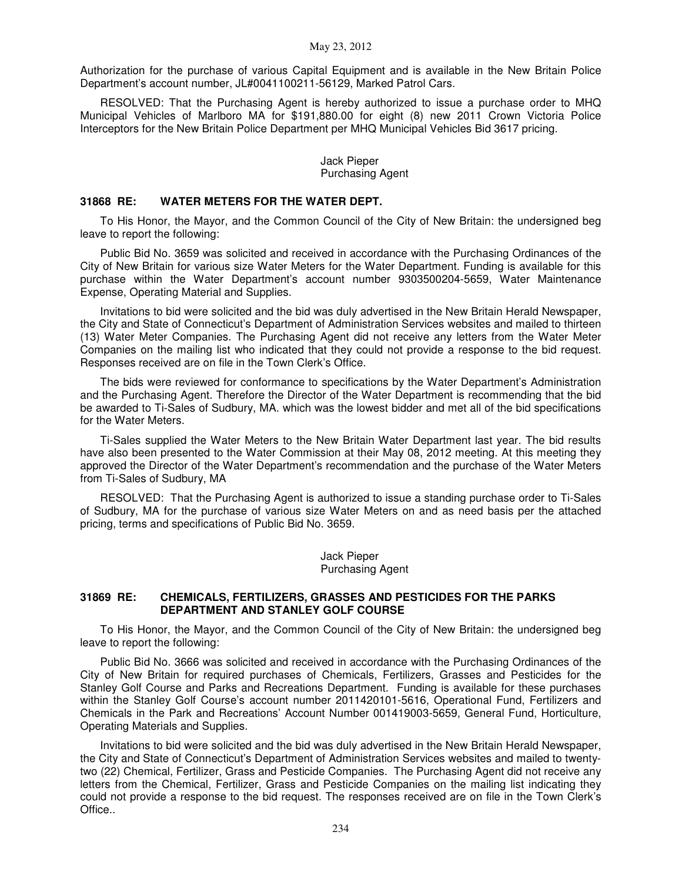Authorization for the purchase of various Capital Equipment and is available in the New Britain Police Department's account number, JL#0041100211-56129, Marked Patrol Cars.

RESOLVED: That the Purchasing Agent is hereby authorized to issue a purchase order to MHQ Municipal Vehicles of Marlboro MA for \$191,880.00 for eight (8) new 2011 Crown Victoria Police Interceptors for the New Britain Police Department per MHQ Municipal Vehicles Bid 3617 pricing.

### Jack Pieper Purchasing Agent

### **31868 RE: WATER METERS FOR THE WATER DEPT.**

To His Honor, the Mayor, and the Common Council of the City of New Britain: the undersigned beg leave to report the following:

Public Bid No. 3659 was solicited and received in accordance with the Purchasing Ordinances of the City of New Britain for various size Water Meters for the Water Department. Funding is available for this purchase within the Water Department's account number 9303500204-5659, Water Maintenance Expense, Operating Material and Supplies.

Invitations to bid were solicited and the bid was duly advertised in the New Britain Herald Newspaper, the City and State of Connecticut's Department of Administration Services websites and mailed to thirteen (13) Water Meter Companies. The Purchasing Agent did not receive any letters from the Water Meter Companies on the mailing list who indicated that they could not provide a response to the bid request. Responses received are on file in the Town Clerk's Office.

The bids were reviewed for conformance to specifications by the Water Department's Administration and the Purchasing Agent. Therefore the Director of the Water Department is recommending that the bid be awarded to Ti-Sales of Sudbury, MA. which was the lowest bidder and met all of the bid specifications for the Water Meters.

Ti-Sales supplied the Water Meters to the New Britain Water Department last year. The bid results have also been presented to the Water Commission at their May 08, 2012 meeting. At this meeting they approved the Director of the Water Department's recommendation and the purchase of the Water Meters from Ti-Sales of Sudbury, MA

RESOLVED: That the Purchasing Agent is authorized to issue a standing purchase order to Ti-Sales of Sudbury, MA for the purchase of various size Water Meters on and as need basis per the attached pricing, terms and specifications of Public Bid No. 3659. İ

> Jack Pieper Purchasing Agent

### **31869 RE: CHEMICALS, FERTILIZERS, GRASSES AND PESTICIDES FOR THE PARKS DEPARTMENT AND STANLEY GOLF COURSE**

To His Honor, the Mayor, and the Common Council of the City of New Britain: the undersigned beg leave to report the following:

Public Bid No. 3666 was solicited and received in accordance with the Purchasing Ordinances of the City of New Britain for required purchases of Chemicals, Fertilizers, Grasses and Pesticides for the Stanley Golf Course and Parks and Recreations Department. Funding is available for these purchases within the Stanley Golf Course's account number 2011420101-5616, Operational Fund, Fertilizers and Chemicals in the Park and Recreations' Account Number 001419003-5659, General Fund, Horticulture, Operating Materials and Supplies.

Invitations to bid were solicited and the bid was duly advertised in the New Britain Herald Newspaper, the City and State of Connecticut's Department of Administration Services websites and mailed to twentytwo (22) Chemical, Fertilizer, Grass and Pesticide Companies. The Purchasing Agent did not receive any letters from the Chemical, Fertilizer, Grass and Pesticide Companies on the mailing list indicating they could not provide a response to the bid request. The responses received are on file in the Town Clerk's Office..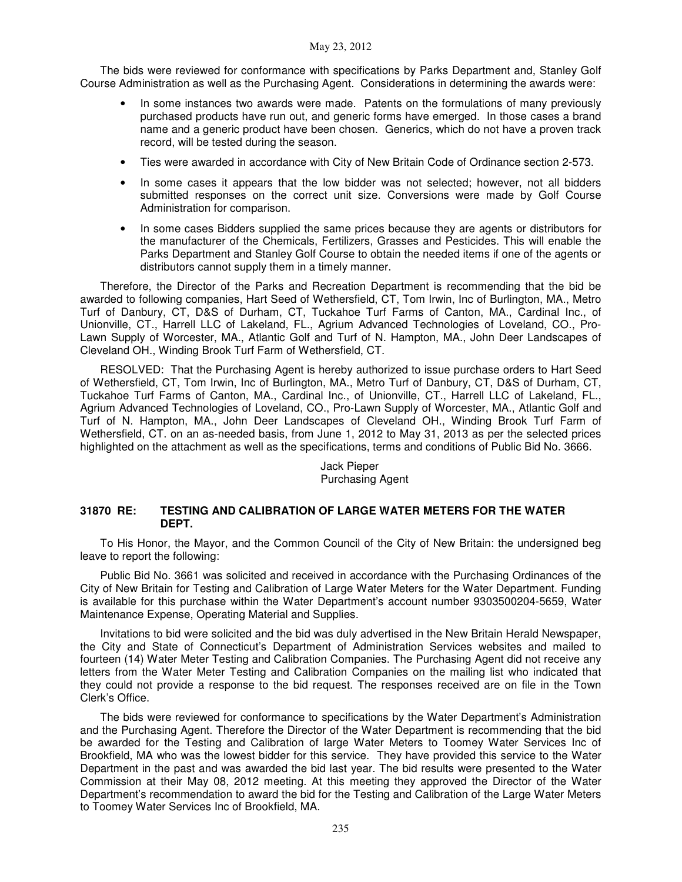The bids were reviewed for conformance with specifications by Parks Department and, Stanley Golf Course Administration as well as the Purchasing Agent. Considerations in determining the awards were:

- In some instances two awards were made. Patents on the formulations of many previously purchased products have run out, and generic forms have emerged. In those cases a brand name and a generic product have been chosen. Generics, which do not have a proven track record, will be tested during the season.
- Ties were awarded in accordance with City of New Britain Code of Ordinance section 2-573.
- In some cases it appears that the low bidder was not selected; however, not all bidders submitted responses on the correct unit size. Conversions were made by Golf Course Administration for comparison.
- In some cases Bidders supplied the same prices because they are agents or distributors for the manufacturer of the Chemicals, Fertilizers, Grasses and Pesticides. This will enable the Parks Department and Stanley Golf Course to obtain the needed items if one of the agents or distributors cannot supply them in a timely manner.

Therefore, the Director of the Parks and Recreation Department is recommending that the bid be awarded to following companies, Hart Seed of Wethersfield, CT, Tom Irwin, Inc of Burlington, MA., Metro Turf of Danbury, CT, D&S of Durham, CT, Tuckahoe Turf Farms of Canton, MA., Cardinal Inc., of Unionville, CT., Harrell LLC of Lakeland, FL., Agrium Advanced Technologies of Loveland, CO., Pro-Lawn Supply of Worcester, MA., Atlantic Golf and Turf of N. Hampton, MA., John Deer Landscapes of Cleveland OH., Winding Brook Turf Farm of Wethersfield, CT.

RESOLVED: That the Purchasing Agent is hereby authorized to issue purchase orders to Hart Seed of Wethersfield, CT, Tom Irwin, Inc of Burlington, MA., Metro Turf of Danbury, CT, D&S of Durham, CT, Tuckahoe Turf Farms of Canton, MA., Cardinal Inc., of Unionville, CT., Harrell LLC of Lakeland, FL., Agrium Advanced Technologies of Loveland, CO., Pro-Lawn Supply of Worcester, MA., Atlantic Golf and Turf of N. Hampton, MA., John Deer Landscapes of Cleveland OH., Winding Brook Turf Farm of Wethersfield, CT. on an as-needed basis, from June 1, 2012 to May 31, 2013 as per the selected prices highlighted on the attachment as well as the specifications, terms and conditions of Public Bid No. 3666.

### Jack Pieper Purchasing Agent

### **31870 RE: TESTING AND CALIBRATION OF LARGE WATER METERS FOR THE WATER DEPT.**

To His Honor, the Mayor, and the Common Council of the City of New Britain: the undersigned beg leave to report the following:

Public Bid No. 3661 was solicited and received in accordance with the Purchasing Ordinances of the City of New Britain for Testing and Calibration of Large Water Meters for the Water Department. Funding is available for this purchase within the Water Department's account number 9303500204-5659, Water Maintenance Expense, Operating Material and Supplies.

Invitations to bid were solicited and the bid was duly advertised in the New Britain Herald Newspaper, the City and State of Connecticut's Department of Administration Services websites and mailed to fourteen (14) Water Meter Testing and Calibration Companies. The Purchasing Agent did not receive any letters from the Water Meter Testing and Calibration Companies on the mailing list who indicated that they could not provide a response to the bid request. The responses received are on file in the Town Clerk's Office.

The bids were reviewed for conformance to specifications by the Water Department's Administration and the Purchasing Agent. Therefore the Director of the Water Department is recommending that the bid be awarded for the Testing and Calibration of large Water Meters to Toomey Water Services Inc of Brookfield, MA who was the lowest bidder for this service. They have provided this service to the Water Department in the past and was awarded the bid last year. The bid results were presented to the Water Commission at their May 08, 2012 meeting. At this meeting they approved the Director of the Water Department's recommendation to award the bid for the Testing and Calibration of the Large Water Meters to Toomey Water Services Inc of Brookfield, MA.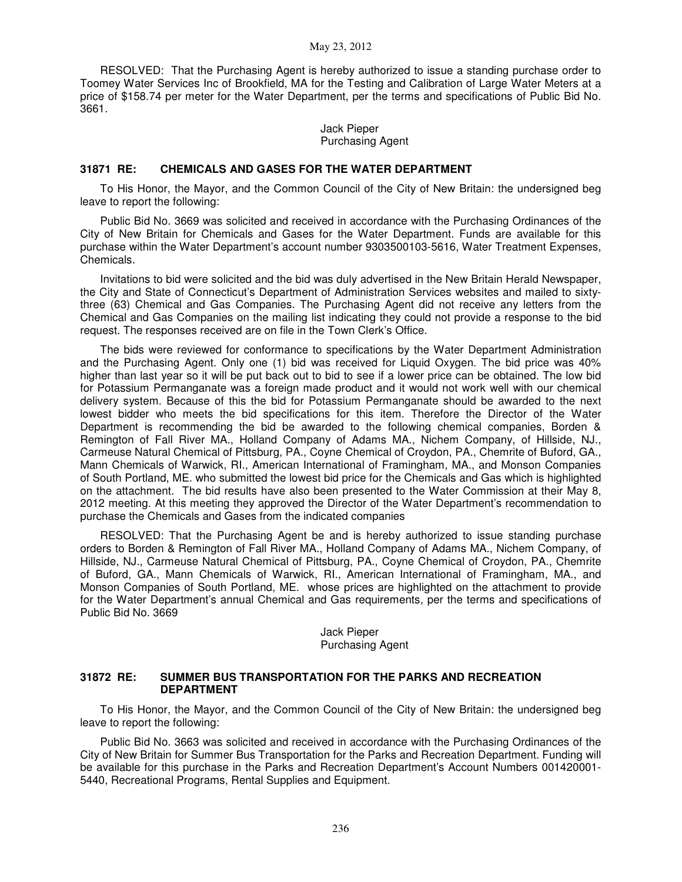RESOLVED: That the Purchasing Agent is hereby authorized to issue a standing purchase order to Toomey Water Services Inc of Brookfield, MA for the Testing and Calibration of Large Water Meters at a price of \$158.74 per meter for the Water Department, per the terms and specifications of Public Bid No. 3661.

> Jack Pieper Purchasing Agent

#### **31871 RE: CHEMICALS AND GASES FOR THE WATER DEPARTMENT**

To His Honor, the Mayor, and the Common Council of the City of New Britain: the undersigned beg leave to report the following:

Public Bid No. 3669 was solicited and received in accordance with the Purchasing Ordinances of the City of New Britain for Chemicals and Gases for the Water Department. Funds are available for this purchase within the Water Department's account number 9303500103-5616, Water Treatment Expenses, Chemicals.

Invitations to bid were solicited and the bid was duly advertised in the New Britain Herald Newspaper, the City and State of Connecticut's Department of Administration Services websites and mailed to sixtythree (63) Chemical and Gas Companies. The Purchasing Agent did not receive any letters from the Chemical and Gas Companies on the mailing list indicating they could not provide a response to the bid request. The responses received are on file in the Town Clerk's Office.

The bids were reviewed for conformance to specifications by the Water Department Administration and the Purchasing Agent. Only one (1) bid was received for Liquid Oxygen. The bid price was 40% higher than last year so it will be put back out to bid to see if a lower price can be obtained. The low bid for Potassium Permanganate was a foreign made product and it would not work well with our chemical delivery system. Because of this the bid for Potassium Permanganate should be awarded to the next lowest bidder who meets the bid specifications for this item. Therefore the Director of the Water Department is recommending the bid be awarded to the following chemical companies, Borden & Remington of Fall River MA., Holland Company of Adams MA., Nichem Company, of Hillside, NJ., Carmeuse Natural Chemical of Pittsburg, PA., Coyne Chemical of Croydon, PA., Chemrite of Buford, GA., Mann Chemicals of Warwick, RI., American International of Framingham, MA., and Monson Companies of South Portland, ME. who submitted the lowest bid price for the Chemicals and Gas which is highlighted on the attachment. The bid results have also been presented to the Water Commission at their May 8, 2012 meeting. At this meeting they approved the Director of the Water Department's recommendation to purchase the Chemicals and Gases from the indicated companies

RESOLVED: That the Purchasing Agent be and is hereby authorized to issue standing purchase orders to Borden & Remington of Fall River MA., Holland Company of Adams MA., Nichem Company, of Hillside, NJ., Carmeuse Natural Chemical of Pittsburg, PA., Coyne Chemical of Croydon, PA., Chemrite of Buford, GA., Mann Chemicals of Warwick, RI., American International of Framingham, MA., and Monson Companies of South Portland, ME. whose prices are highlighted on the attachment to provide for the Water Department's annual Chemical and Gas requirements, per the terms and specifications of Public Bid No. 3669

> Jack Pieper Purchasing Agent

### **31872 RE: SUMMER BUS TRANSPORTATION FOR THE PARKS AND RECREATION DEPARTMENT**

To His Honor, the Mayor, and the Common Council of the City of New Britain: the undersigned beg leave to report the following:

Public Bid No. 3663 was solicited and received in accordance with the Purchasing Ordinances of the City of New Britain for Summer Bus Transportation for the Parks and Recreation Department. Funding will be available for this purchase in the Parks and Recreation Department's Account Numbers 001420001- 5440, Recreational Programs, Rental Supplies and Equipment.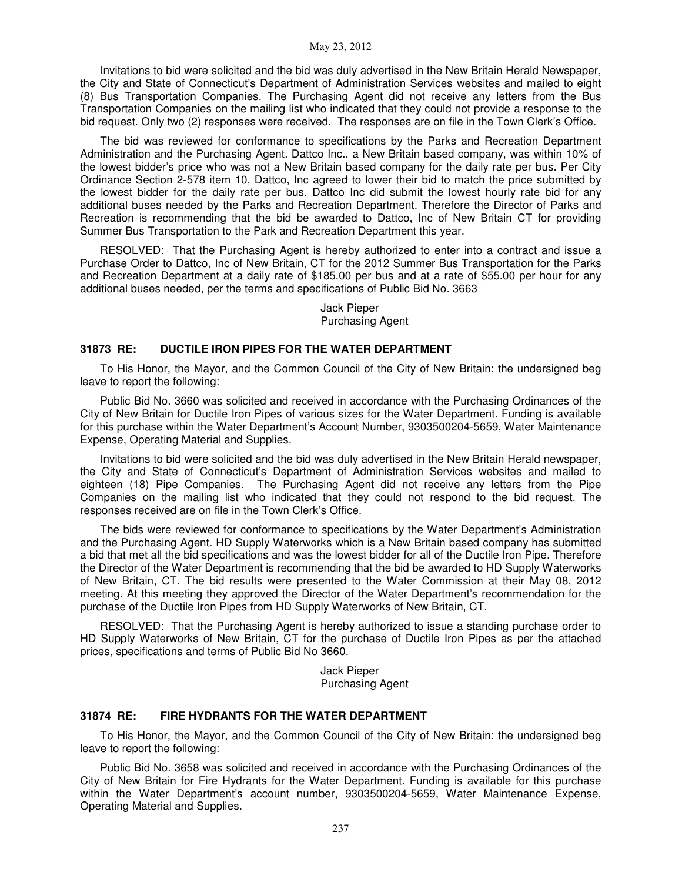Invitations to bid were solicited and the bid was duly advertised in the New Britain Herald Newspaper, the City and State of Connecticut's Department of Administration Services websites and mailed to eight (8) Bus Transportation Companies. The Purchasing Agent did not receive any letters from the Bus Transportation Companies on the mailing list who indicated that they could not provide a response to the bid request. Only two (2) responses were received. The responses are on file in the Town Clerk's Office.

The bid was reviewed for conformance to specifications by the Parks and Recreation Department Administration and the Purchasing Agent. Dattco Inc., a New Britain based company, was within 10% of the lowest bidder's price who was not a New Britain based company for the daily rate per bus. Per City Ordinance Section 2-578 item 10, Dattco, Inc agreed to lower their bid to match the price submitted by the lowest bidder for the daily rate per bus. Dattco Inc did submit the lowest hourly rate bid for any additional buses needed by the Parks and Recreation Department. Therefore the Director of Parks and Recreation is recommending that the bid be awarded to Dattco, Inc of New Britain CT for providing Summer Bus Transportation to the Park and Recreation Department this year.

RESOLVED: That the Purchasing Agent is hereby authorized to enter into a contract and issue a Purchase Order to Dattco, Inc of New Britain, CT for the 2012 Summer Bus Transportation for the Parks and Recreation Department at a daily rate of \$185.00 per bus and at a rate of \$55.00 per hour for any additional buses needed, per the terms and specifications of Public Bid No. 3663

> Jack Pieper Purchasing Agent

### **31873 RE: DUCTILE IRON PIPES FOR THE WATER DEPARTMENT**

To His Honor, the Mayor, and the Common Council of the City of New Britain: the undersigned beg leave to report the following:

Public Bid No. 3660 was solicited and received in accordance with the Purchasing Ordinances of the City of New Britain for Ductile Iron Pipes of various sizes for the Water Department. Funding is available for this purchase within the Water Department's Account Number, 9303500204-5659, Water Maintenance Expense, Operating Material and Supplies.

Invitations to bid were solicited and the bid was duly advertised in the New Britain Herald newspaper, the City and State of Connecticut's Department of Administration Services websites and mailed to eighteen (18) Pipe Companies. The Purchasing Agent did not receive any letters from the Pipe Companies on the mailing list who indicated that they could not respond to the bid request. The responses received are on file in the Town Clerk's Office.

The bids were reviewed for conformance to specifications by the Water Department's Administration and the Purchasing Agent. HD Supply Waterworks which is a New Britain based company has submitted a bid that met all the bid specifications and was the lowest bidder for all of the Ductile Iron Pipe. Therefore the Director of the Water Department is recommending that the bid be awarded to HD Supply Waterworks of New Britain, CT. The bid results were presented to the Water Commission at their May 08, 2012 meeting. At this meeting they approved the Director of the Water Department's recommendation for the purchase of the Ductile Iron Pipes from HD Supply Waterworks of New Britain, CT.

RESOLVED: That the Purchasing Agent is hereby authorized to issue a standing purchase order to HD Supply Waterworks of New Britain, CT for the purchase of Ductile Iron Pipes as per the attached prices, specifications and terms of Public Bid No 3660.

> Jack Pieper Purchasing Agent

### **31874 RE: FIRE HYDRANTS FOR THE WATER DEPARTMENT**

To His Honor, the Mayor, and the Common Council of the City of New Britain: the undersigned beg leave to report the following:

Public Bid No. 3658 was solicited and received in accordance with the Purchasing Ordinances of the City of New Britain for Fire Hydrants for the Water Department. Funding is available for this purchase within the Water Department's account number, 9303500204-5659, Water Maintenance Expense, Operating Material and Supplies.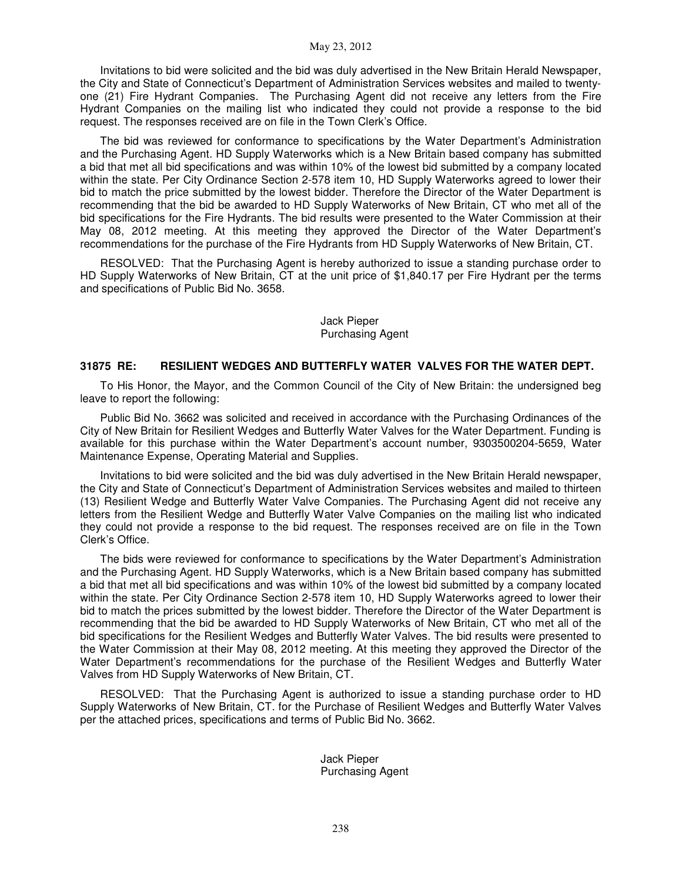Invitations to bid were solicited and the bid was duly advertised in the New Britain Herald Newspaper, the City and State of Connecticut's Department of Administration Services websites and mailed to twentyone (21) Fire Hydrant Companies. The Purchasing Agent did not receive any letters from the Fire Hydrant Companies on the mailing list who indicated they could not provide a response to the bid request. The responses received are on file in the Town Clerk's Office.

The bid was reviewed for conformance to specifications by the Water Department's Administration and the Purchasing Agent. HD Supply Waterworks which is a New Britain based company has submitted a bid that met all bid specifications and was within 10% of the lowest bid submitted by a company located within the state. Per City Ordinance Section 2-578 item 10, HD Supply Waterworks agreed to lower their bid to match the price submitted by the lowest bidder. Therefore the Director of the Water Department is recommending that the bid be awarded to HD Supply Waterworks of New Britain, CT who met all of the bid specifications for the Fire Hydrants. The bid results were presented to the Water Commission at their May 08, 2012 meeting. At this meeting they approved the Director of the Water Department's recommendations for the purchase of the Fire Hydrants from HD Supply Waterworks of New Britain, CT.

RESOLVED: That the Purchasing Agent is hereby authorized to issue a standing purchase order to HD Supply Waterworks of New Britain, CT at the unit price of \$1,840.17 per Fire Hydrant per the terms and specifications of Public Bid No. 3658.

### Jack Pieper Purchasing Agent

### **31875 RE: RESILIENT WEDGES AND BUTTERFLY WATER VALVES FOR THE WATER DEPT.**

To His Honor, the Mayor, and the Common Council of the City of New Britain: the undersigned beg leave to report the following:

Public Bid No. 3662 was solicited and received in accordance with the Purchasing Ordinances of the City of New Britain for Resilient Wedges and Butterfly Water Valves for the Water Department. Funding is available for this purchase within the Water Department's account number, 9303500204-5659, Water Maintenance Expense, Operating Material and Supplies.

Invitations to bid were solicited and the bid was duly advertised in the New Britain Herald newspaper, the City and State of Connecticut's Department of Administration Services websites and mailed to thirteen (13) Resilient Wedge and Butterfly Water Valve Companies. The Purchasing Agent did not receive any letters from the Resilient Wedge and Butterfly Water Valve Companies on the mailing list who indicated they could not provide a response to the bid request. The responses received are on file in the Town Clerk's Office.

The bids were reviewed for conformance to specifications by the Water Department's Administration and the Purchasing Agent. HD Supply Waterworks, which is a New Britain based company has submitted a bid that met all bid specifications and was within 10% of the lowest bid submitted by a company located within the state. Per City Ordinance Section 2-578 item 10, HD Supply Waterworks agreed to lower their bid to match the prices submitted by the lowest bidder. Therefore the Director of the Water Department is recommending that the bid be awarded to HD Supply Waterworks of New Britain, CT who met all of the bid specifications for the Resilient Wedges and Butterfly Water Valves. The bid results were presented to the Water Commission at their May 08, 2012 meeting. At this meeting they approved the Director of the Water Department's recommendations for the purchase of the Resilient Wedges and Butterfly Water Valves from HD Supply Waterworks of New Britain, CT.

RESOLVED: That the Purchasing Agent is authorized to issue a standing purchase order to HD Supply Waterworks of New Britain, CT. for the Purchase of Resilient Wedges and Butterfly Water Valves per the attached prices, specifications and terms of Public Bid No. 3662.

> Jack Pieper Purchasing Agent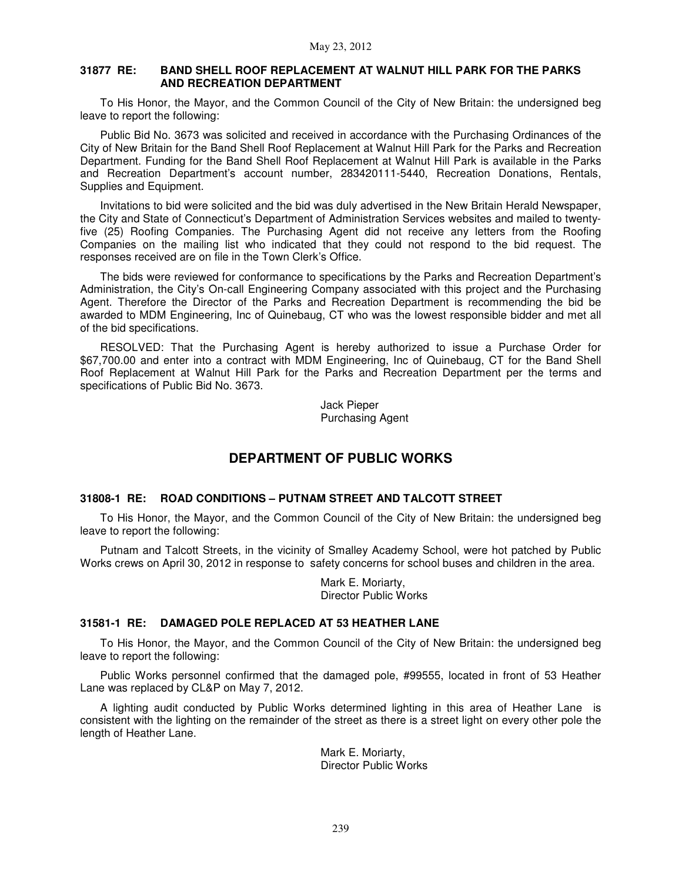### **31877 RE: BAND SHELL ROOF REPLACEMENT AT WALNUT HILL PARK FOR THE PARKS AND RECREATION DEPARTMENT**

To His Honor, the Mayor, and the Common Council of the City of New Britain: the undersigned beg leave to report the following:

Public Bid No. 3673 was solicited and received in accordance with the Purchasing Ordinances of the City of New Britain for the Band Shell Roof Replacement at Walnut Hill Park for the Parks and Recreation Department. Funding for the Band Shell Roof Replacement at Walnut Hill Park is available in the Parks and Recreation Department's account number, 283420111-5440, Recreation Donations, Rentals, Supplies and Equipment.

Invitations to bid were solicited and the bid was duly advertised in the New Britain Herald Newspaper, the City and State of Connecticut's Department of Administration Services websites and mailed to twentyfive (25) Roofing Companies. The Purchasing Agent did not receive any letters from the Roofing Companies on the mailing list who indicated that they could not respond to the bid request. The responses received are on file in the Town Clerk's Office.

The bids were reviewed for conformance to specifications by the Parks and Recreation Department's Administration, the City's On-call Engineering Company associated with this project and the Purchasing Agent. Therefore the Director of the Parks and Recreation Department is recommending the bid be awarded to MDM Engineering, Inc of Quinebaug, CT who was the lowest responsible bidder and met all of the bid specifications.

RESOLVED: That the Purchasing Agent is hereby authorized to issue a Purchase Order for \$67,700.00 and enter into a contract with MDM Engineering, Inc of Quinebaug, CT for the Band Shell Roof Replacement at Walnut Hill Park for the Parks and Recreation Department per the terms and specifications of Public Bid No. 3673.

> Jack Pieper Purchasing Agent

# **DEPARTMENT OF PUBLIC WORKS**

### **31808-1 RE: ROAD CONDITIONS – PUTNAM STREET AND TALCOTT STREET**

To His Honor, the Mayor, and the Common Council of the City of New Britain: the undersigned beg leave to report the following:

Putnam and Talcott Streets, in the vicinity of Smalley Academy School, were hot patched by Public Works crews on April 30, 2012 in response to safety concerns for school buses and children in the area.

> Mark E. Moriarty, Director Public Works

### **31581-1 RE: DAMAGED POLE REPLACED AT 53 HEATHER LANE**

To His Honor, the Mayor, and the Common Council of the City of New Britain: the undersigned beg leave to report the following:

Public Works personnel confirmed that the damaged pole, #99555, located in front of 53 Heather Lane was replaced by CL&P on May 7, 2012.

A lighting audit conducted by Public Works determined lighting in this area of Heather Lane is consistent with the lighting on the remainder of the street as there is a street light on every other pole the length of Heather Lane.

> Mark E. Moriarty, Director Public Works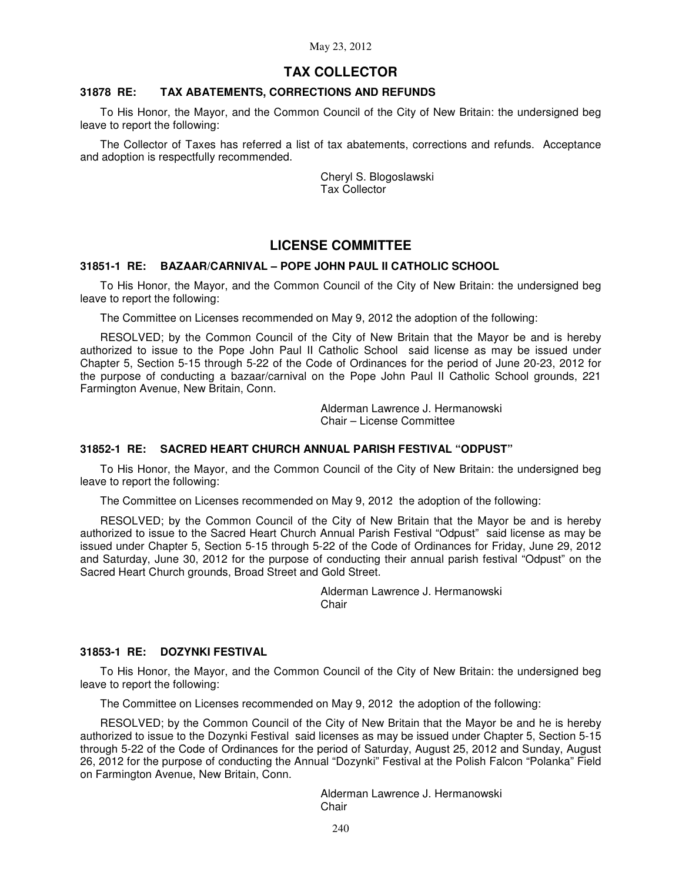### **TAX COLLECTOR**

### **31878 RE: TAX ABATEMENTS, CORRECTIONS AND REFUNDS**

To His Honor, the Mayor, and the Common Council of the City of New Britain: the undersigned beg leave to report the following:

The Collector of Taxes has referred a list of tax abatements, corrections and refunds. Acceptance and adoption is respectfully recommended.

> Cheryl S. Blogoslawski Tax Collector

## **LICENSE COMMITTEE**

### **31851-1 RE: BAZAAR/CARNIVAL – POPE JOHN PAUL II CATHOLIC SCHOOL**

To His Honor, the Mayor, and the Common Council of the City of New Britain: the undersigned beg leave to report the following:

The Committee on Licenses recommended on May 9, 2012 the adoption of the following:

RESOLVED; by the Common Council of the City of New Britain that the Mayor be and is hereby authorized to issue to the Pope John Paul II Catholic School said license as may be issued under Chapter 5, Section 5-15 through 5-22 of the Code of Ordinances for the period of June 20-23, 2012 for the purpose of conducting a bazaar/carnival on the Pope John Paul II Catholic School grounds, 221 Farmington Avenue, New Britain, Conn.

> Alderman Lawrence J. Hermanowski Chair – License Committee

### **31852-1 RE: SACRED HEART CHURCH ANNUAL PARISH FESTIVAL "ODPUST"**

To His Honor, the Mayor, and the Common Council of the City of New Britain: the undersigned beg leave to report the following:

The Committee on Licenses recommended on May 9, 2012 the adoption of the following:

RESOLVED; by the Common Council of the City of New Britain that the Mayor be and is hereby authorized to issue to the Sacred Heart Church Annual Parish Festival "Odpust" said license as may be issued under Chapter 5, Section 5-15 through 5-22 of the Code of Ordinances for Friday, June 29, 2012 and Saturday, June 30, 2012 for the purpose of conducting their annual parish festival "Odpust" on the Sacred Heart Church grounds, Broad Street and Gold Street.

> Alderman Lawrence J. Hermanowski Chair

### **31853-1 RE: DOZYNKI FESTIVAL**

To His Honor, the Mayor, and the Common Council of the City of New Britain: the undersigned beg leave to report the following:

The Committee on Licenses recommended on May 9, 2012 the adoption of the following:

RESOLVED; by the Common Council of the City of New Britain that the Mayor be and he is hereby authorized to issue to the Dozynki Festival said licenses as may be issued under Chapter 5, Section 5-15 through 5-22 of the Code of Ordinances for the period of Saturday, August 25, 2012 and Sunday, August 26, 2012 for the purpose of conducting the Annual "Dozynki" Festival at the Polish Falcon "Polanka" Field on Farmington Avenue, New Britain, Conn.

> Alderman Lawrence J. Hermanowski Chair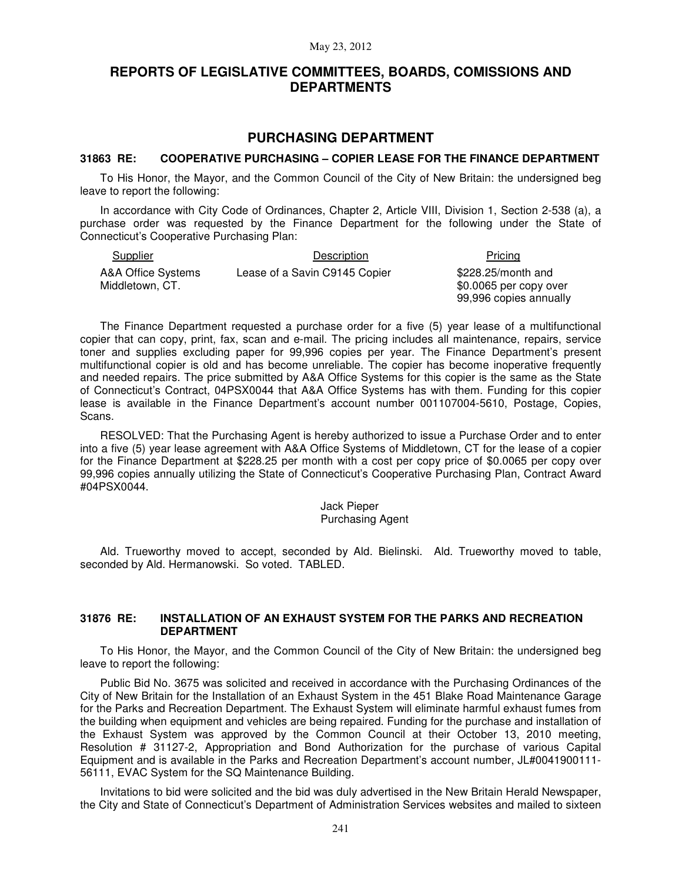## **REPORTS OF LEGISLATIVE COMMITTEES, BOARDS, COMISSIONS AND DEPARTMENTS**

## **PURCHASING DEPARTMENT**

### **31863 RE: COOPERATIVE PURCHASING – COPIER LEASE FOR THE FINANCE DEPARTMENT**

To His Honor, the Mayor, and the Common Council of the City of New Britain: the undersigned beg leave to report the following:

In accordance with City Code of Ordinances, Chapter 2, Article VIII, Division 1, Section 2-538 (a), a purchase order was requested by the Finance Department for the following under the State of Connecticut's Cooperative Purchasing Plan:

Supplier **Description Description Pricing** A&A Office Systems Middletown, CT. Lease of a Savin C9145 Copier

\$228.25/month and \$0.0065 per copy over 99,996 copies annually

The Finance Department requested a purchase order for a five (5) year lease of a multifunctional copier that can copy, print, fax, scan and e-mail. The pricing includes all maintenance, repairs, service toner and supplies excluding paper for 99,996 copies per year. The Finance Department's present multifunctional copier is old and has become unreliable. The copier has become inoperative frequently and needed repairs. The price submitted by A&A Office Systems for this copier is the same as the State of Connecticut's Contract, 04PSX0044 that A&A Office Systems has with them. Funding for this copier lease is available in the Finance Department's account number 001107004-5610, Postage, Copies, Scans.

RESOLVED: That the Purchasing Agent is hereby authorized to issue a Purchase Order and to enter into a five (5) year lease agreement with A&A Office Systems of Middletown, CT for the lease of a copier for the Finance Department at \$228.25 per month with a cost per copy price of \$0.0065 per copy over 99,996 copies annually utilizing the State of Connecticut's Cooperative Purchasing Plan, Contract Award #04PSX0044.

#### Jack Pieper Purchasing Agent

Ald. Trueworthy moved to accept, seconded by Ald. Bielinski. Ald. Trueworthy moved to table, seconded by Ald. Hermanowski. So voted. TABLED.

### **31876 RE: INSTALLATION OF AN EXHAUST SYSTEM FOR THE PARKS AND RECREATION DEPARTMENT**

To His Honor, the Mayor, and the Common Council of the City of New Britain: the undersigned beg leave to report the following:

Public Bid No. 3675 was solicited and received in accordance with the Purchasing Ordinances of the City of New Britain for the Installation of an Exhaust System in the 451 Blake Road Maintenance Garage for the Parks and Recreation Department. The Exhaust System will eliminate harmful exhaust fumes from the building when equipment and vehicles are being repaired. Funding for the purchase and installation of the Exhaust System was approved by the Common Council at their October 13, 2010 meeting, Resolution # 31127-2, Appropriation and Bond Authorization for the purchase of various Capital Equipment and is available in the Parks and Recreation Department's account number, JL#0041900111- 56111, EVAC System for the SQ Maintenance Building.

Invitations to bid were solicited and the bid was duly advertised in the New Britain Herald Newspaper, the City and State of Connecticut's Department of Administration Services websites and mailed to sixteen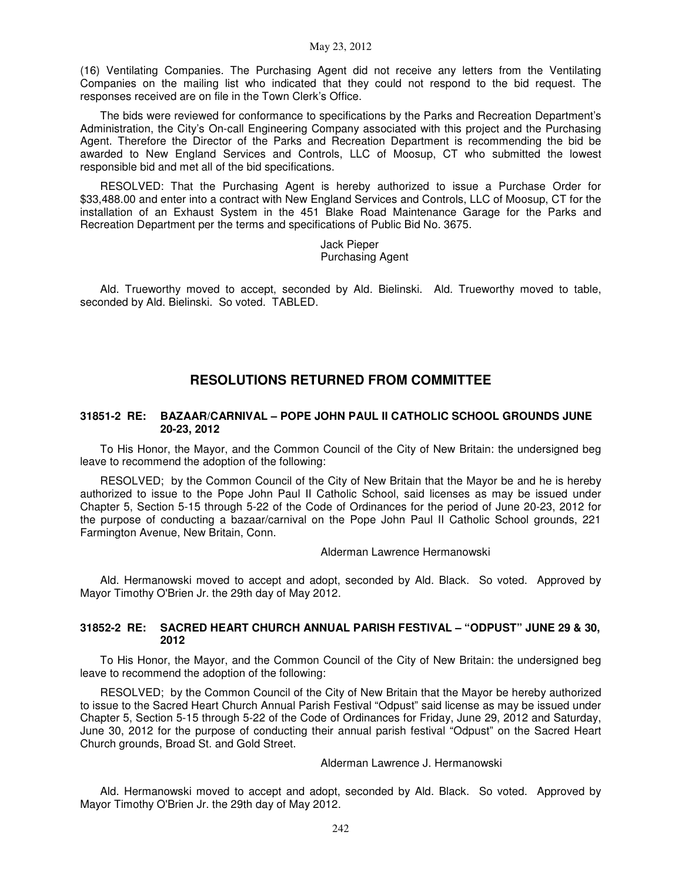(16) Ventilating Companies. The Purchasing Agent did not receive any letters from the Ventilating Companies on the mailing list who indicated that they could not respond to the bid request. The responses received are on file in the Town Clerk's Office.

The bids were reviewed for conformance to specifications by the Parks and Recreation Department's Administration, the City's On-call Engineering Company associated with this project and the Purchasing Agent. Therefore the Director of the Parks and Recreation Department is recommending the bid be awarded to New England Services and Controls, LLC of Moosup, CT who submitted the lowest responsible bid and met all of the bid specifications.

RESOLVED: That the Purchasing Agent is hereby authorized to issue a Purchase Order for \$33,488.00 and enter into a contract with New England Services and Controls, LLC of Moosup, CT for the installation of an Exhaust System in the 451 Blake Road Maintenance Garage for the Parks and Recreation Department per the terms and specifications of Public Bid No. 3675.

> Jack Pieper Purchasing Agent

Ald. Trueworthy moved to accept, seconded by Ald. Bielinski. Ald. Trueworthy moved to table, seconded by Ald. Bielinski. So voted. TABLED.

## **RESOLUTIONS RETURNED FROM COMMITTEE**

### **31851-2 RE: BAZAAR/CARNIVAL – POPE JOHN PAUL II CATHOLIC SCHOOL GROUNDS JUNE 20-23, 2012**

To His Honor, the Mayor, and the Common Council of the City of New Britain: the undersigned beg leave to recommend the adoption of the following:

RESOLVED; by the Common Council of the City of New Britain that the Mayor be and he is hereby authorized to issue to the Pope John Paul II Catholic School, said licenses as may be issued under Chapter 5, Section 5-15 through 5-22 of the Code of Ordinances for the period of June 20-23, 2012 for the purpose of conducting a bazaar/carnival on the Pope John Paul II Catholic School grounds, 221 Farmington Avenue, New Britain, Conn.

Alderman Lawrence Hermanowski

Ald. Hermanowski moved to accept and adopt, seconded by Ald. Black. So voted. Approved by Mayor Timothy O'Brien Jr. the 29th day of May 2012.

### **31852-2 RE: SACRED HEART CHURCH ANNUAL PARISH FESTIVAL – "ODPUST" JUNE 29 & 30, 2012**

To His Honor, the Mayor, and the Common Council of the City of New Britain: the undersigned beg leave to recommend the adoption of the following:

RESOLVED; by the Common Council of the City of New Britain that the Mayor be hereby authorized to issue to the Sacred Heart Church Annual Parish Festival "Odpust" said license as may be issued under Chapter 5, Section 5-15 through 5-22 of the Code of Ordinances for Friday, June 29, 2012 and Saturday, June 30, 2012 for the purpose of conducting their annual parish festival "Odpust" on the Sacred Heart Church grounds, Broad St. and Gold Street.

Alderman Lawrence J. Hermanowski

Ald. Hermanowski moved to accept and adopt, seconded by Ald. Black. So voted. Approved by Mayor Timothy O'Brien Jr. the 29th day of May 2012.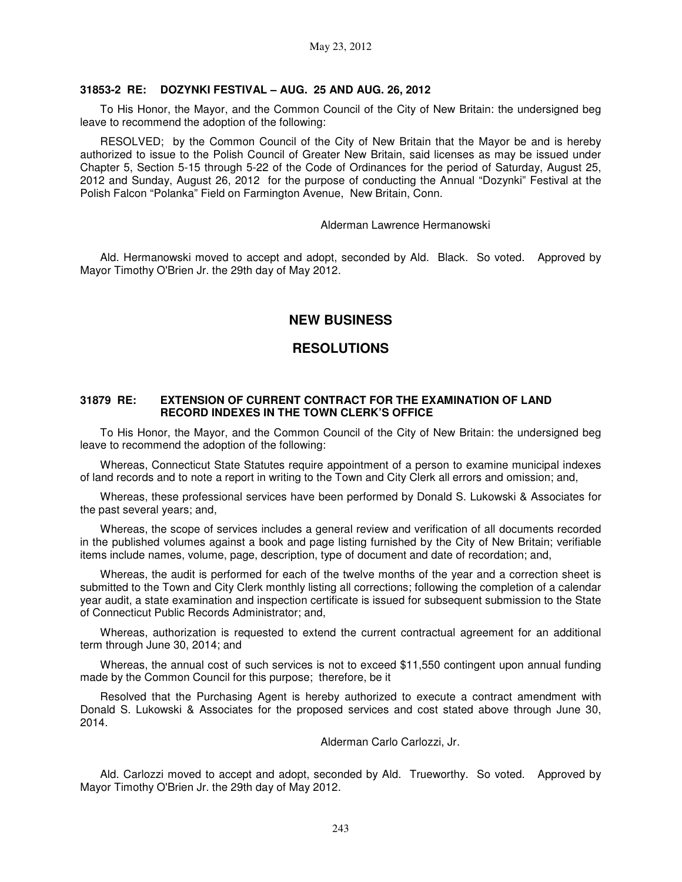#### **31853-2 RE: DOZYNKI FESTIVAL – AUG. 25 AND AUG. 26, 2012**

To His Honor, the Mayor, and the Common Council of the City of New Britain: the undersigned beg leave to recommend the adoption of the following:

RESOLVED; by the Common Council of the City of New Britain that the Mayor be and is hereby authorized to issue to the Polish Council of Greater New Britain, said licenses as may be issued under Chapter 5, Section 5-15 through 5-22 of the Code of Ordinances for the period of Saturday, August 25, 2012 and Sunday, August 26, 2012 for the purpose of conducting the Annual "Dozynki" Festival at the Polish Falcon "Polanka" Field on Farmington Avenue, New Britain, Conn.

#### Alderman Lawrence Hermanowski

Ald. Hermanowski moved to accept and adopt, seconded by Ald. Black. So voted. Approved by Mayor Timothy O'Brien Jr. the 29th day of May 2012.

## **NEW BUSINESS**

## **RESOLUTIONS**

### **31879 RE: EXTENSION OF CURRENT CONTRACT FOR THE EXAMINATION OF LAND RECORD INDEXES IN THE TOWN CLERK'S OFFICE**

To His Honor, the Mayor, and the Common Council of the City of New Britain: the undersigned beg leave to recommend the adoption of the following:

Whereas, Connecticut State Statutes require appointment of a person to examine municipal indexes of land records and to note a report in writing to the Town and City Clerk all errors and omission; and,

Whereas, these professional services have been performed by Donald S. Lukowski & Associates for the past several years; and,

Whereas, the scope of services includes a general review and verification of all documents recorded in the published volumes against a book and page listing furnished by the City of New Britain; verifiable items include names, volume, page, description, type of document and date of recordation; and,

Whereas, the audit is performed for each of the twelve months of the year and a correction sheet is submitted to the Town and City Clerk monthly listing all corrections; following the completion of a calendar year audit, a state examination and inspection certificate is issued for subsequent submission to the State of Connecticut Public Records Administrator; and,

Whereas, authorization is requested to extend the current contractual agreement for an additional term through June 30, 2014; and

Whereas, the annual cost of such services is not to exceed \$11,550 contingent upon annual funding made by the Common Council for this purpose; therefore, be it

Resolved that the Purchasing Agent is hereby authorized to execute a contract amendment with Donald S. Lukowski & Associates for the proposed services and cost stated above through June 30, 2014.

Alderman Carlo Carlozzi, Jr.

Ald. Carlozzi moved to accept and adopt, seconded by Ald. Trueworthy. So voted. Approved by Mayor Timothy O'Brien Jr. the 29th day of May 2012.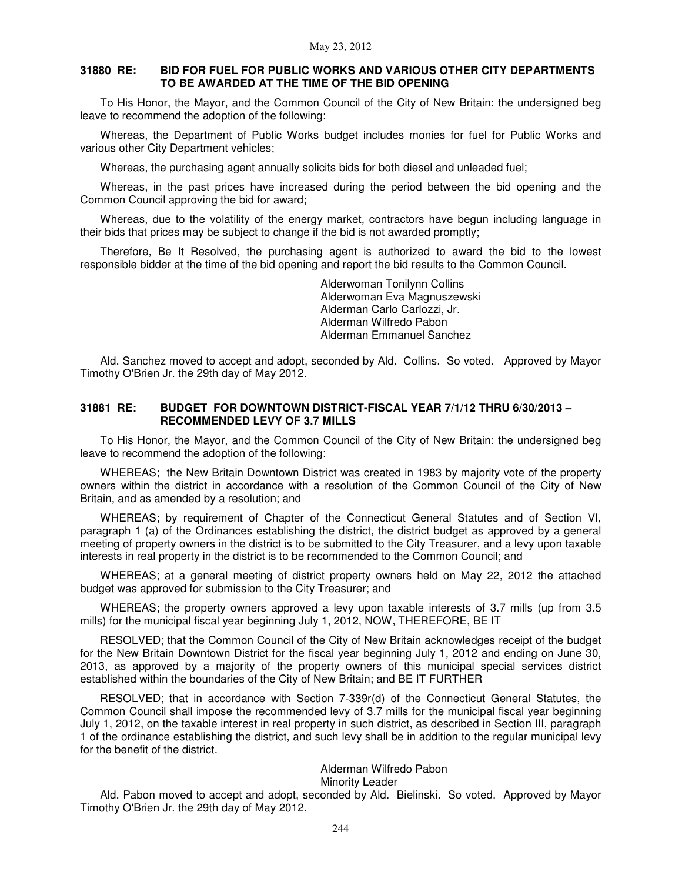### **31880 RE: BID FOR FUEL FOR PUBLIC WORKS AND VARIOUS OTHER CITY DEPARTMENTS TO BE AWARDED AT THE TIME OF THE BID OPENING**

To His Honor, the Mayor, and the Common Council of the City of New Britain: the undersigned beg leave to recommend the adoption of the following:

Whereas, the Department of Public Works budget includes monies for fuel for Public Works and various other City Department vehicles;

Whereas, the purchasing agent annually solicits bids for both diesel and unleaded fuel;

Whereas, in the past prices have increased during the period between the bid opening and the Common Council approving the bid for award;

Whereas, due to the volatility of the energy market, contractors have begun including language in their bids that prices may be subject to change if the bid is not awarded promptly;

Therefore, Be It Resolved, the purchasing agent is authorized to award the bid to the lowest responsible bidder at the time of the bid opening and report the bid results to the Common Council.

> Alderwoman Tonilynn Collins Alderwoman Eva Magnuszewski Alderman Carlo Carlozzi, Jr. Alderman Wilfredo Pabon Alderman Emmanuel Sanchez

Ald. Sanchez moved to accept and adopt, seconded by Ald. Collins. So voted. Approved by Mayor Timothy O'Brien Jr. the 29th day of May 2012.

### **31881 RE: BUDGET FOR DOWNTOWN DISTRICT-FISCAL YEAR 7/1/12 THRU 6/30/2013 – RECOMMENDED LEVY OF 3.7 MILLS**

To His Honor, the Mayor, and the Common Council of the City of New Britain: the undersigned beg leave to recommend the adoption of the following:

WHEREAS; the New Britain Downtown District was created in 1983 by majority vote of the property owners within the district in accordance with a resolution of the Common Council of the City of New Britain, and as amended by a resolution; and

WHEREAS; by requirement of Chapter of the Connecticut General Statutes and of Section VI, paragraph 1 (a) of the Ordinances establishing the district, the district budget as approved by a general meeting of property owners in the district is to be submitted to the City Treasurer, and a levy upon taxable interests in real property in the district is to be recommended to the Common Council; and

WHEREAS; at a general meeting of district property owners held on May 22, 2012 the attached budget was approved for submission to the City Treasurer; and

WHEREAS; the property owners approved a levy upon taxable interests of 3.7 mills (up from 3.5 mills) for the municipal fiscal year beginning July 1, 2012, NOW, THEREFORE, BE IT

RESOLVED; that the Common Council of the City of New Britain acknowledges receipt of the budget for the New Britain Downtown District for the fiscal year beginning July 1, 2012 and ending on June 30, 2013, as approved by a majority of the property owners of this municipal special services district established within the boundaries of the City of New Britain; and BE IT FURTHER

RESOLVED; that in accordance with Section 7-339r(d) of the Connecticut General Statutes, the Common Council shall impose the recommended levy of 3.7 mills for the municipal fiscal year beginning July 1, 2012, on the taxable interest in real property in such district, as described in Section III, paragraph 1 of the ordinance establishing the district, and such levy shall be in addition to the regular municipal levy for the benefit of the district.

#### Alderman Wilfredo Pabon

#### Minority Leader

Ald. Pabon moved to accept and adopt, seconded by Ald. Bielinski. So voted. Approved by Mayor Timothy O'Brien Jr. the 29th day of May 2012.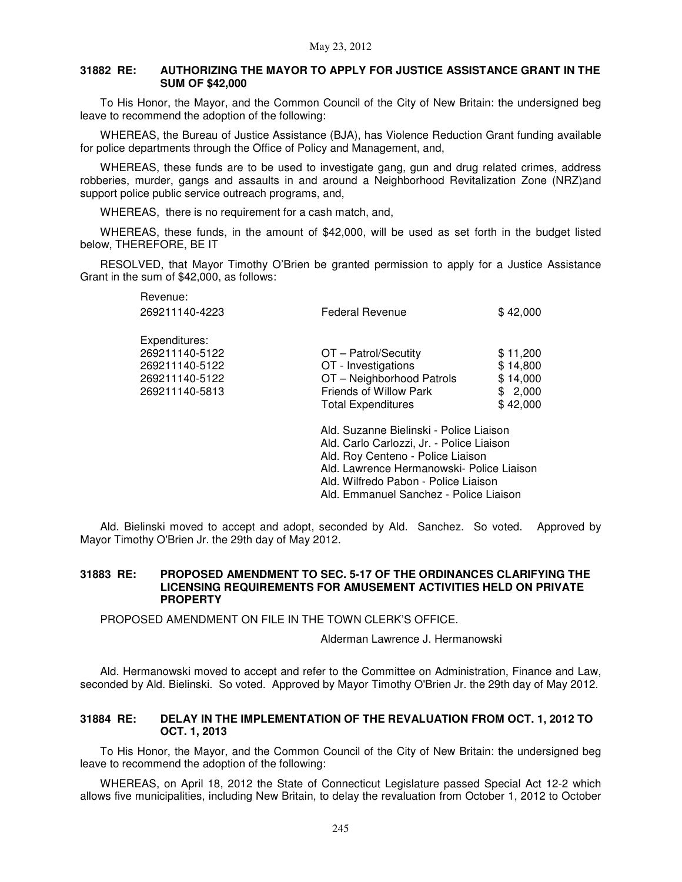### **31882 RE: AUTHORIZING THE MAYOR TO APPLY FOR JUSTICE ASSISTANCE GRANT IN THE SUM OF \$42,000**

To His Honor, the Mayor, and the Common Council of the City of New Britain: the undersigned beg leave to recommend the adoption of the following:

WHEREAS, the Bureau of Justice Assistance (BJA), has Violence Reduction Grant funding available for police departments through the Office of Policy and Management, and,

WHEREAS, these funds are to be used to investigate gang, gun and drug related crimes, address robberies, murder, gangs and assaults in and around a Neighborhood Revitalization Zone (NRZ)and support police public service outreach programs, and,

WHEREAS, there is no requirement for a cash match, and,

WHEREAS, these funds, in the amount of \$42,000, will be used as set forth in the budget listed below, THEREFORE, BE IT

RESOLVED, that Mayor Timothy O'Brien be granted permission to apply for a Justice Assistance Grant in the sum of \$42,000, as follows:

| Revenue:<br>269211140-4223                                                            | Federal Revenue                                                                                                                                                        | \$42,000                                                |  |
|---------------------------------------------------------------------------------------|------------------------------------------------------------------------------------------------------------------------------------------------------------------------|---------------------------------------------------------|--|
| Expenditures:<br>269211140-5122<br>269211140-5122<br>269211140-5122<br>269211140-5813 | OT - Patrol/Secutity<br>OT - Investigations<br>OT-Neighborhood Patrols<br><b>Friends of Willow Park</b><br><b>Total Expenditures</b>                                   | \$11,200<br>\$14,800<br>\$14,000<br>\$2,000<br>\$42,000 |  |
|                                                                                       | Ald. Suzanne Bielinski - Police Liaison<br>Ald. Carlo Carlozzi, Jr. - Police Liaison<br>Ald. Roy Centeno - Police Liaison<br>Ald. Lawrence Hermanowski- Police Liaison |                                                         |  |

Ald. Wilfredo Pabon - Police Liaison

Ald. Emmanuel Sanchez - Police Liaison

Ald. Bielinski moved to accept and adopt, seconded by Ald. Sanchez. So voted. Approved by Mayor Timothy O'Brien Jr. the 29th day of May 2012.

### **31883 RE: PROPOSED AMENDMENT TO SEC. 5-17 OF THE ORDINANCES CLARIFYING THE LICENSING REQUIREMENTS FOR AMUSEMENT ACTIVITIES HELD ON PRIVATE PROPERTY**

PROPOSED AMENDMENT ON FILE IN THE TOWN CLERK'S OFFICE.

Alderman Lawrence J. Hermanowski

Ald. Hermanowski moved to accept and refer to the Committee on Administration, Finance and Law, seconded by Ald. Bielinski. So voted. Approved by Mayor Timothy O'Brien Jr. the 29th day of May 2012.

### **31884 RE: DELAY IN THE IMPLEMENTATION OF THE REVALUATION FROM OCT. 1, 2012 TO OCT. 1, 2013**

To His Honor, the Mayor, and the Common Council of the City of New Britain: the undersigned beg leave to recommend the adoption of the following:

WHEREAS, on April 18, 2012 the State of Connecticut Legislature passed Special Act 12-2 which allows five municipalities, including New Britain, to delay the revaluation from October 1, 2012 to October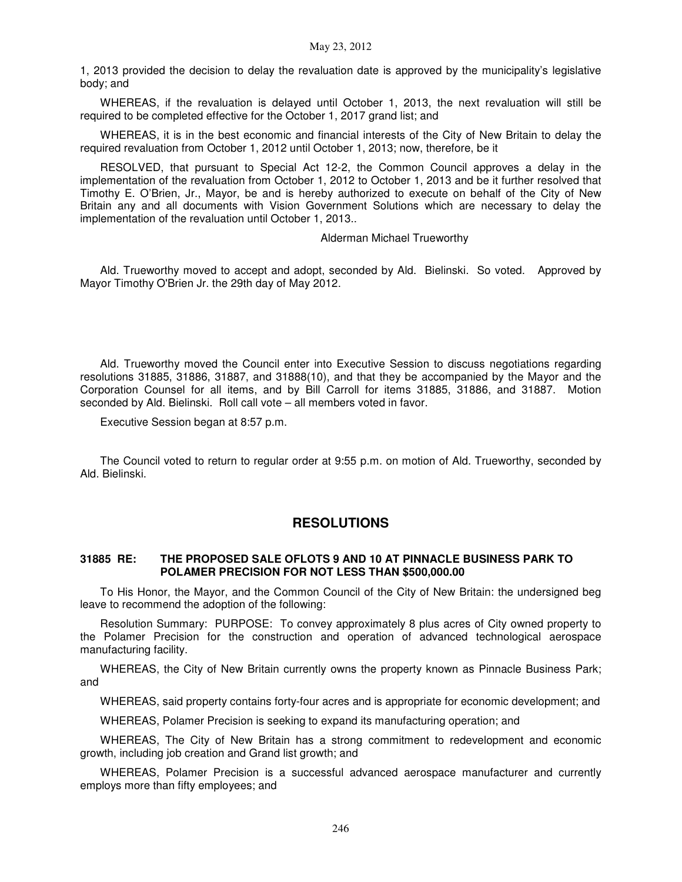1, 2013 provided the decision to delay the revaluation date is approved by the municipality's legislative body; and

WHEREAS, if the revaluation is delayed until October 1, 2013, the next revaluation will still be required to be completed effective for the October 1, 2017 grand list; and

WHEREAS, it is in the best economic and financial interests of the City of New Britain to delay the required revaluation from October 1, 2012 until October 1, 2013; now, therefore, be it

RESOLVED, that pursuant to Special Act 12-2, the Common Council approves a delay in the implementation of the revaluation from October 1, 2012 to October 1, 2013 and be it further resolved that Timothy E. O'Brien, Jr., Mayor, be and is hereby authorized to execute on behalf of the City of New Britain any and all documents with Vision Government Solutions which are necessary to delay the implementation of the revaluation until October 1, 2013..

### Alderman Michael Trueworthy

Ald. Trueworthy moved to accept and adopt, seconded by Ald. Bielinski. So voted. Approved by Mayor Timothy O'Brien Jr. the 29th day of May 2012.

Ald. Trueworthy moved the Council enter into Executive Session to discuss negotiations regarding resolutions 31885, 31886, 31887, and 31888(10), and that they be accompanied by the Mayor and the Corporation Counsel for all items, and by Bill Carroll for items 31885, 31886, and 31887. Motion seconded by Ald. Bielinski. Roll call vote – all members voted in favor.

Executive Session began at 8:57 p.m.

The Council voted to return to regular order at 9:55 p.m. on motion of Ald. Trueworthy, seconded by Ald. Bielinski.

## **RESOLUTIONS**

### **31885 RE: THE PROPOSED SALE OFLOTS 9 AND 10 AT PINNACLE BUSINESS PARK TO POLAMER PRECISION FOR NOT LESS THAN \$500,000.00**

To His Honor, the Mayor, and the Common Council of the City of New Britain: the undersigned beg leave to recommend the adoption of the following:

Resolution Summary: PURPOSE: To convey approximately 8 plus acres of City owned property to the Polamer Precision for the construction and operation of advanced technological aerospace manufacturing facility.

WHEREAS, the City of New Britain currently owns the property known as Pinnacle Business Park; and

WHEREAS, said property contains forty-four acres and is appropriate for economic development; and

WHEREAS, Polamer Precision is seeking to expand its manufacturing operation; and

WHEREAS, The City of New Britain has a strong commitment to redevelopment and economic growth, including job creation and Grand list growth; and

WHEREAS, Polamer Precision is a successful advanced aerospace manufacturer and currently employs more than fifty employees; and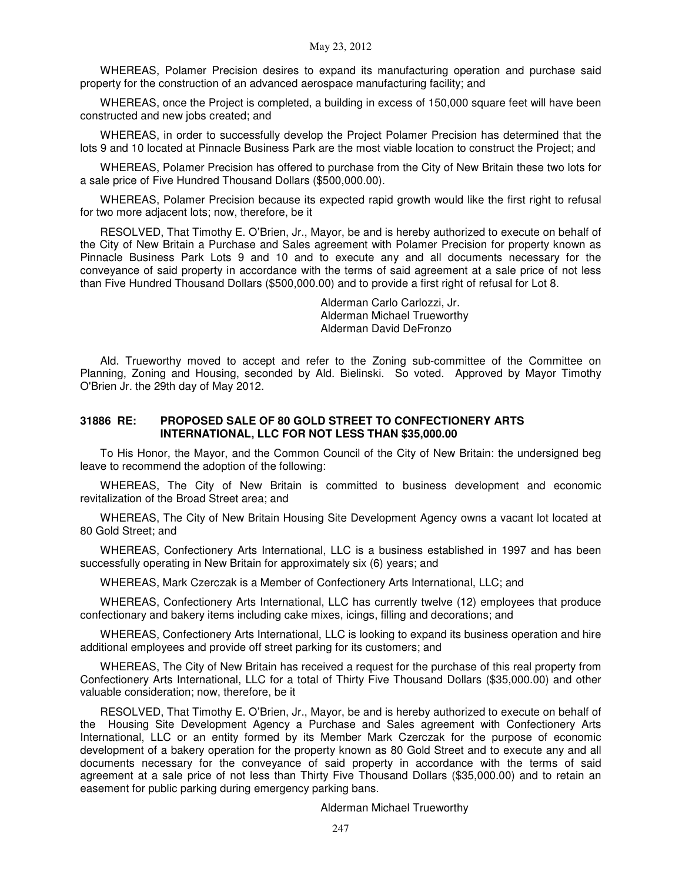WHEREAS, Polamer Precision desires to expand its manufacturing operation and purchase said property for the construction of an advanced aerospace manufacturing facility; and

WHEREAS, once the Project is completed, a building in excess of 150,000 square feet will have been constructed and new jobs created; and

WHEREAS, in order to successfully develop the Project Polamer Precision has determined that the lots 9 and 10 located at Pinnacle Business Park are the most viable location to construct the Project; and

WHEREAS, Polamer Precision has offered to purchase from the City of New Britain these two lots for a sale price of Five Hundred Thousand Dollars (\$500,000.00).

WHEREAS, Polamer Precision because its expected rapid growth would like the first right to refusal for two more adjacent lots; now, therefore, be it

RESOLVED, That Timothy E. O'Brien, Jr., Mayor, be and is hereby authorized to execute on behalf of the City of New Britain a Purchase and Sales agreement with Polamer Precision for property known as Pinnacle Business Park Lots 9 and 10 and to execute any and all documents necessary for the conveyance of said property in accordance with the terms of said agreement at a sale price of not less than Five Hundred Thousand Dollars (\$500,000.00) and to provide a first right of refusal for Lot 8.

> Alderman Carlo Carlozzi, Jr. Alderman Michael Trueworthy Alderman David DeFronzo

Ald. Trueworthy moved to accept and refer to the Zoning sub-committee of the Committee on Planning, Zoning and Housing, seconded by Ald. Bielinski. So voted. Approved by Mayor Timothy O'Brien Jr. the 29th day of May 2012.

### **31886 RE: PROPOSED SALE OF 80 GOLD STREET TO CONFECTIONERY ARTS INTERNATIONAL, LLC FOR NOT LESS THAN \$35,000.00**

To His Honor, the Mayor, and the Common Council of the City of New Britain: the undersigned beg leave to recommend the adoption of the following:

WHEREAS, The City of New Britain is committed to business development and economic revitalization of the Broad Street area; and

WHEREAS, The City of New Britain Housing Site Development Agency owns a vacant lot located at 80 Gold Street; and

WHEREAS, Confectionery Arts International, LLC is a business established in 1997 and has been successfully operating in New Britain for approximately six (6) years; and

WHEREAS, Mark Czerczak is a Member of Confectionery Arts International, LLC; and

WHEREAS, Confectionery Arts International, LLC has currently twelve (12) employees that produce confectionary and bakery items including cake mixes, icings, filling and decorations; and

WHEREAS, Confectionery Arts International, LLC is looking to expand its business operation and hire additional employees and provide off street parking for its customers; and

WHEREAS, The City of New Britain has received a request for the purchase of this real property from Confectionery Arts International, LLC for a total of Thirty Five Thousand Dollars (\$35,000.00) and other valuable consideration; now, therefore, be it

RESOLVED, That Timothy E. O'Brien, Jr., Mayor, be and is hereby authorized to execute on behalf of the Housing Site Development Agency a Purchase and Sales agreement with Confectionery Arts International, LLC or an entity formed by its Member Mark Czerczak for the purpose of economic development of a bakery operation for the property known as 80 Gold Street and to execute any and all documents necessary for the conveyance of said property in accordance with the terms of said agreement at a sale price of not less than Thirty Five Thousand Dollars (\$35,000.00) and to retain an easement for public parking during emergency parking bans.

Alderman Michael Trueworthy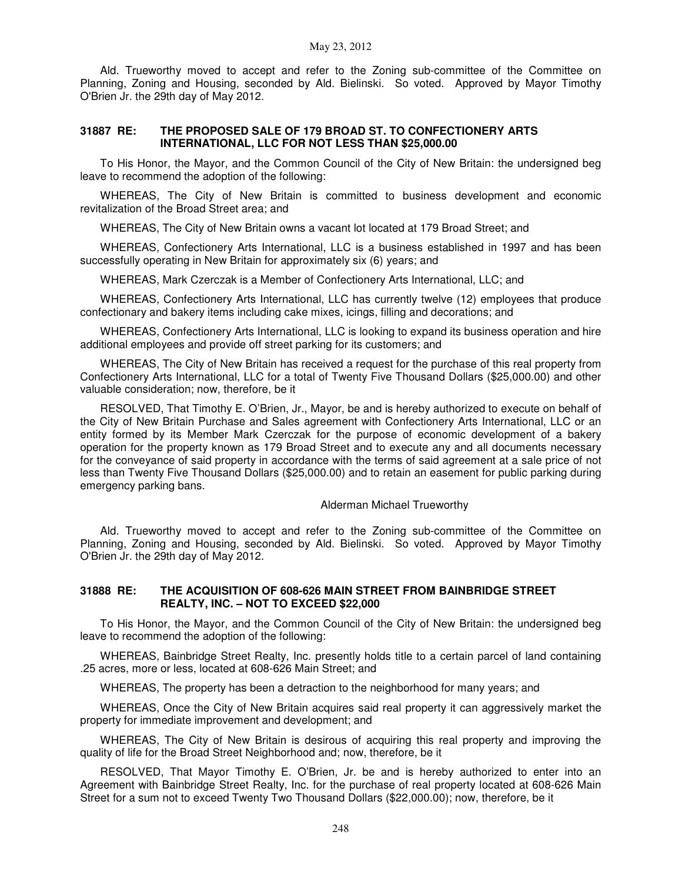Ald. Trueworthy moved to accept and refer to the Zoning sub-committee of the Committee on Planning, Zoning and Housing, seconded by Ald. Bielinski. So voted. Approved by Mayor Timothy O'Brien Jr. the 29th day of May 2012.

### **31887 RE: THE PROPOSED SALE OF 179 BROAD ST. TO CONFECTIONERY ARTS INTERNATIONAL, LLC FOR NOT LESS THAN \$25,000.00**

To His Honor, the Mayor, and the Common Council of the City of New Britain: the undersigned beg leave to recommend the adoption of the following:

WHEREAS, The City of New Britain is committed to business development and economic revitalization of the Broad Street area; and

WHEREAS, The City of New Britain owns a vacant lot located at 179 Broad Street; and

WHEREAS, Confectionery Arts International, LLC is a business established in 1997 and has been successfully operating in New Britain for approximately six (6) years; and

WHEREAS, Mark Czerczak is a Member of Confectionery Arts International, LLC; and

WHEREAS, Confectionery Arts International, LLC has currently twelve (12) employees that produce confectionary and bakery items including cake mixes, icings, filling and decorations; and

WHEREAS, Confectionery Arts International, LLC is looking to expand its business operation and hire additional employees and provide off street parking for its customers; and

WHEREAS, The City of New Britain has received a request for the purchase of this real property from Confectionery Arts International, LLC for a total of Twenty Five Thousand Dollars (\$25,000.00) and other valuable consideration; now, therefore, be it

RESOLVED, That Timothy E. O'Brien, Jr., Mayor, be and is hereby authorized to execute on behalf of the City of New Britain Purchase and Sales agreement with Confectionery Arts International, LLC or an entity formed by its Member Mark Czerczak for the purpose of economic development of a bakery operation for the property known as 179 Broad Street and to execute any and all documents necessary for the conveyance of said property in accordance with the terms of said agreement at a sale price of not less than Twenty Five Thousand Dollars (\$25,000.00) and to retain an easement for public parking during emergency parking bans.

#### Alderman Michael Trueworthy

Ald. Trueworthy moved to accept and refer to the Zoning sub-committee of the Committee on Planning, Zoning and Housing, seconded by Ald. Bielinski. So voted. Approved by Mayor Timothy O'Brien Jr. the 29th day of May 2012.

### **31888 RE: THE ACQUISITION OF 608-626 MAIN STREET FROM BAINBRIDGE STREET REALTY, INC. – NOT TO EXCEED \$22,000**

To His Honor, the Mayor, and the Common Council of the City of New Britain: the undersigned beg leave to recommend the adoption of the following:

WHEREAS, Bainbridge Street Realty, Inc. presently holds title to a certain parcel of land containing .25 acres, more or less, located at 608-626 Main Street; and

WHEREAS, The property has been a detraction to the neighborhood for many years; and

WHEREAS, Once the City of New Britain acquires said real property it can aggressively market the property for immediate improvement and development; and

WHEREAS, The City of New Britain is desirous of acquiring this real property and improving the quality of life for the Broad Street Neighborhood and; now, therefore, be it

RESOLVED, That Mayor Timothy E. O'Brien, Jr. be and is hereby authorized to enter into an Agreement with Bainbridge Street Realty, Inc. for the purchase of real property located at 608-626 Main Street for a sum not to exceed Twenty Two Thousand Dollars (\$22,000.00); now, therefore, be it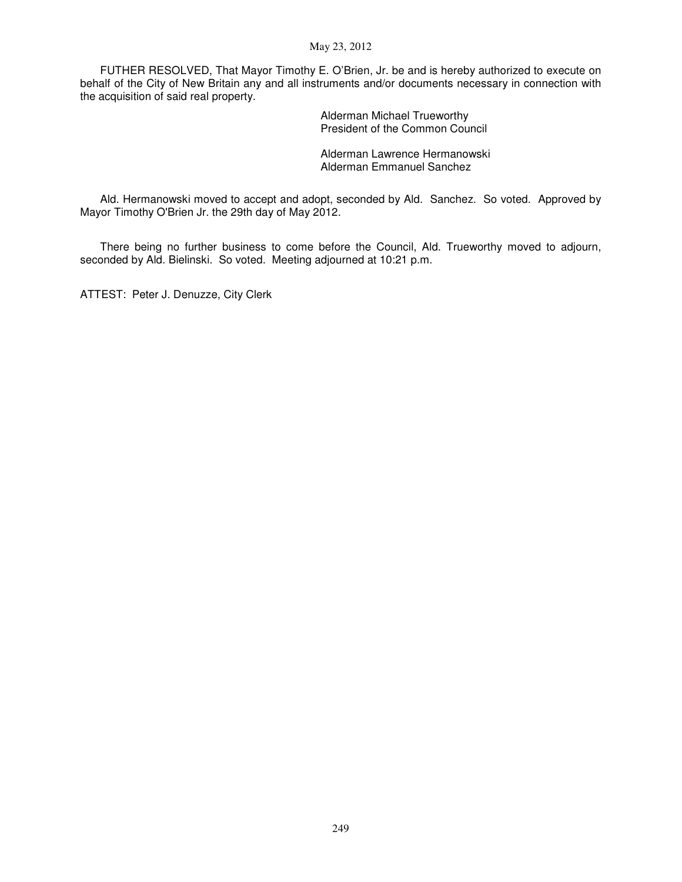### May 23, 2012

FUTHER RESOLVED, That Mayor Timothy E. O'Brien, Jr. be and is hereby authorized to execute on behalf of the City of New Britain any and all instruments and/or documents necessary in connection with the acquisition of said real property.

> Alderman Michael Trueworthy President of the Common Council

Alderman Lawrence Hermanowski Alderman Emmanuel Sanchez

Ald. Hermanowski moved to accept and adopt, seconded by Ald. Sanchez. So voted. Approved by Mayor Timothy O'Brien Jr. the 29th day of May 2012.

There being no further business to come before the Council, Ald. Trueworthy moved to adjourn, seconded by Ald. Bielinski. So voted. Meeting adjourned at 10:21 p.m.

ATTEST: Peter J. Denuzze, City Clerk